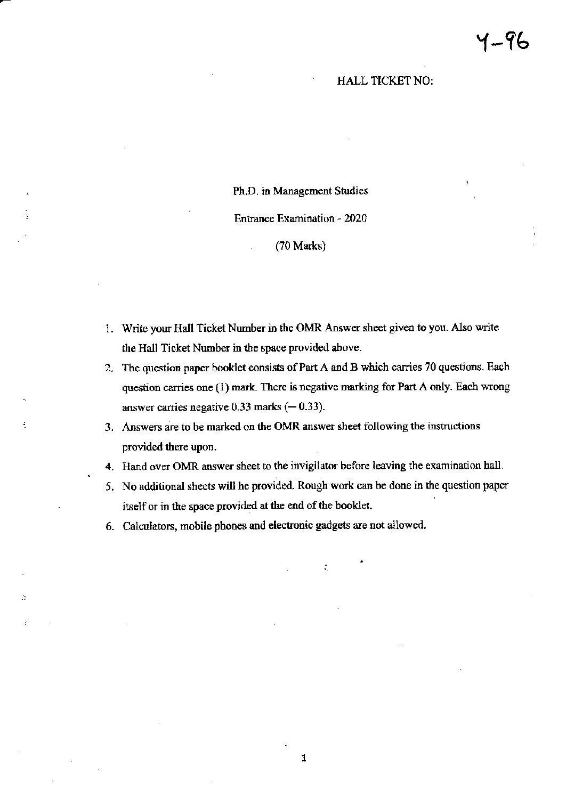### **HALL TICKET NO:**

#### Ph.D. in Management Studies

#### **Entrance Examination - 2020**

## (70 Marks)

- 1. Write your Hall Ticket Number in the OMR Answer sheet given to you. Also write the Hall Ticket Number in the space provided above.
- 2. The question paper booklet consists of Part A and B which carries 70 questions. Each question carries one (1) mark. There is negative marking for Part A only. Each wrong answer carries negative 0.33 marks  $(-0.33)$ .
- 3. Answers are to be marked on the OMR answer sheet following the instructions provided there upon.
- 4. Hand over OMR answer sheet to the invigilator before leaving the examination hall.
- 5. No additional sheets will he provided. Rough work can be done in the question paper itself or in the space provided at the end of the booklet.

÷.

6. Calculators, mobile phones and electronic gadgets are not allowed.

A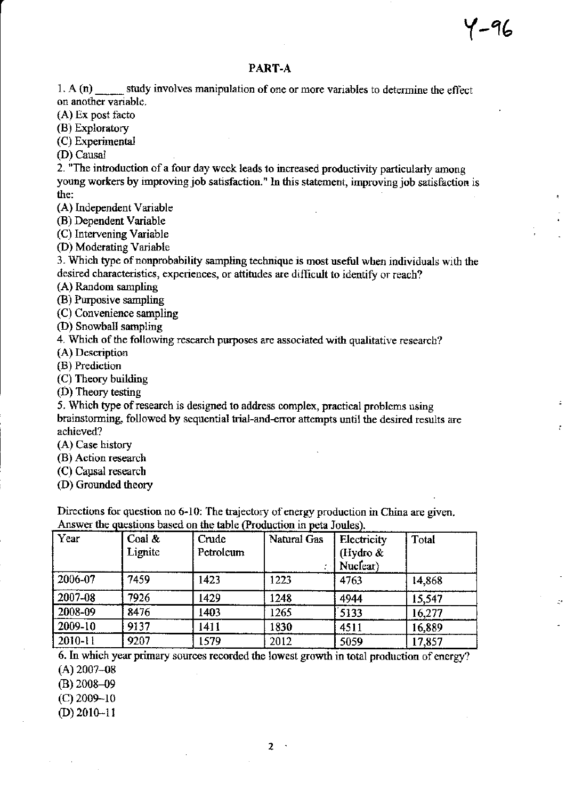ŧ

# PART-A

1. A (n) \_\_\_\_\_ study involves manipulation of one or more variables to determine the effect on another variable.

 $(A)$  Ex post facto

(B) Exploratory

(C) Experimental

(D) Causal

2. "The introduction of a four day week leads to increased productivity particularly among young workers by improving job satisfaction." In this statement, improving job satisfaction is the:

(A) Independent Variable

(B) Dependent Variable

(C) Intervening Variable

(D) Moderating Variable

3. Which type of nonprobability sampling technique is most useful when individuals with the desired characteristics, experiences, or attitudes are difficult to identify or reach?

(A) Random sampling

(B) Purposive sampling

(C) Convenience sampling

(D) Snowball sampling

4. Which of the following research purposes are associated with qualitative research?

(A) Description

(B) Prediction

(C) Theory building

 $(D)$  Theory testing

5. Which type of research is designed to address complex, practical problems using brainstorming, followed by sequential trial-and-error attempts until the desired results are achieved?

(A) Case history

(B) Action research

(C) Causal research

(D) Grounded theory

Directions for question no 6-10: The trajectory of energy production in China are given. Answer the questions based on the table (Production in peta Joules).

| Year        | Coal $\&$<br>Lignite | Crude<br>Petroleum | Natural Gas | Electricity<br>(Hydro &<br>Nuclear) | Total  |
|-------------|----------------------|--------------------|-------------|-------------------------------------|--------|
| 2006-07     | 7459                 | 1423               | 1223        | 4763                                | 14,868 |
| 2007-08     | 7926                 | 1429               | 1248        | 4944                                | 15,547 |
| 2008-09     | 8476                 | 1403               | 1265        | 5133                                | 16,277 |
| 2009-10     | 9137                 | 1411               | 1830        | 4511                                | 16,889 |
| $2010 - 11$ | 9207                 | 1579               | 2012        | 5059                                | 17,857 |

6. In which year primary sources recorded the lowest growth in total production of energy?  $(A)$  2007-08

> $\mathcal{A}$  $\overline{2}$

 $(B)$  2008-09

 $(C)$  2009-10  $(D)$  2010-11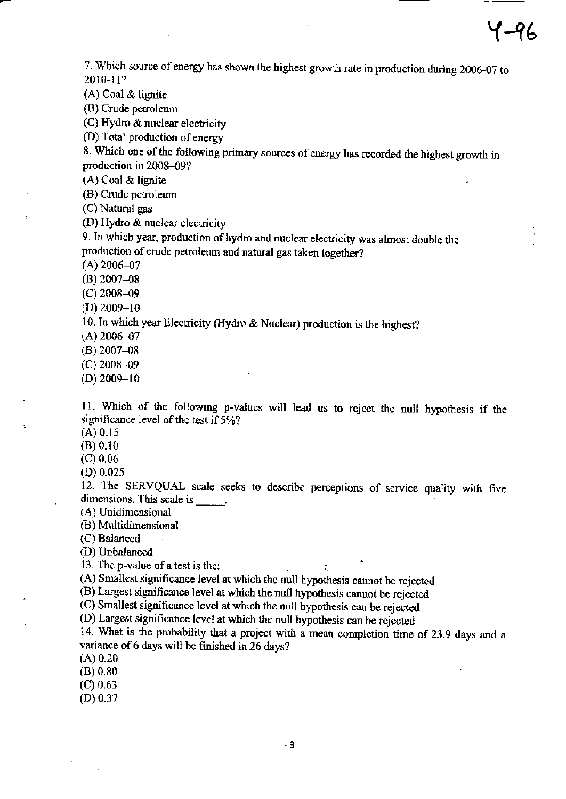J

7. Which source of energy has shown the highest growth rate in production during 2006-07 to 2010-l l?

 $(A)$  Coal  $\&$  lignite

(B) Crude petroleum

(C) Hydro & nuclear electricity

(D) Total production of energy

8. Which one of the following primary sources of energy has recorded the highest growth in production in 2008-09?

(A) Coal & lignite

@) Crude petroleum

(C) Natural gas

(D) Hydro & nuclear electricity

9. In which year, production of hydro and nuclear electricity was almost double the production of crude petroleum and natural gas taken together?

 $(A)$  2006-07

 $(B)$  2007-08

(c) 2008-49

 $(D)$  2009-10

10. In which year Electricity (Hydro & Nuclear) production is the highest?

 $(A)$  2006-07

(B) 2007\_08

(c) 2008 -09

(D) 2009-10

11. Which of the following p-values will lead us to reject the null hypothesis if the significance level of the test if  $5\frac{1}{2}$ ?

(A) 0.15

(B) 0.10

(c) 0.06

(D) 0.025

12. The SERVQUAL scale seeks to describe perceptions of service quality with five dimensions. This scale is \_\_\_\_\_\_.

(A) Unidimensional

(B) Multidirensional

(C) Baianced

(D) Unbalanced

13. The p-value of a test is the:

(A) Smallest significance level at which the null hypothesis cannot be rejected

(B) Largest significance level at which the null hypothesis cannot be rejected

(C) Smallest significance level at which the null hypothesis can be rejected

(D) Largest significance level at which the null hypothesis can be rejected

14. What is the probability that a project with a mean completion time of 23.9 days and a variance of 6 days will be finished in 26 days?

(A) 0.20

(B) 0.80

 $(C)$  0.63

(D) 0.37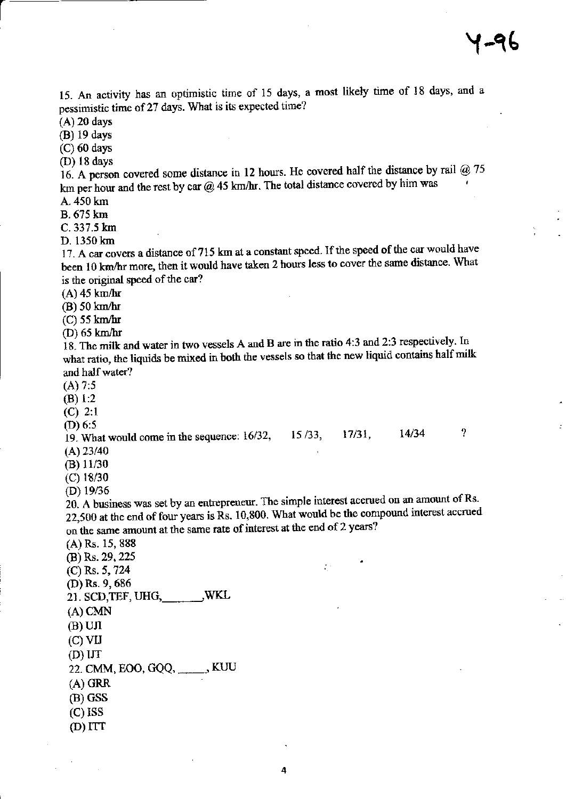15. An activity has an optimistic time of 15 days, a most likely time of 18 days, and a pessimistic time of 27 days. What is its expected time?

 $(A)$  20 days

(B) 19 days

 $(C)$  60 days

(D) 18 days

16. A person covered some distance in 12 hours. He covered half the distance by rail @ 75 km per hour and the rest by car  $@$  45 km/hr. The total distance covered by him was

A. 450 km **B.** 675 km

C. 337.5 km

D. 1350 km

17. A car covers a distance of 715 km at a constant speed. If the speed of the car would have been 10 km/hr more, then it would have taken 2 hours less to cover the same distance. What is the original speed of the car?

 $(A)$  45 km/hr

 $(B)$  50 km/hr

 $(C)$  55 km/hr

 $(D)$  65 km/hr

18. The milk and water in two vessels A and B are in the ratio 4:3 and 2:3 respectively. In what ratio, the liquids be mixed in both the vessels so that the new liquid contains half milk and half water?

 $(A) 7:5$ 

 $(B) 1:2$ 

 $(C)$  2:1

(D)  $6:5$ 

 $\overline{?}$  $14/34$ 19. What would come in the sequence: 16/32,  $15/33$ ,  $17/31$ ,  $(A)$  23/40

 $(B)$  11/30

 $(C)$  18/30

(D)  $19/36$ 

20. A business was set by an entrepreneur. The simple interest accrued on an amount of Rs. 22,500 at the end of four years is  $\hat{R}s$ . 10,800. What would be the compound interest accrued on the same amount at the same rate of interest at the end of 2 years?

 $\mathcal{L}^{(1)}$ 

(A) Rs. 15, 888

(B) Rs. 29, 225

(C) Rs. 5, 724

(D) Rs. 9, 686

21. SCD, TEF, UHG, \_\_\_\_\_\_\_, WKL

 $(A)$  CMN

 $(B)$  UJI

 $(C)$  VIJ

 $(D)$  UT

22. CMM, EOO, GQQ, \_\_\_\_\_, KUU

 $(A)$  GRR

 $(B)$  GSS

 $(C)$  ISS

 $(D) ITT$ 

4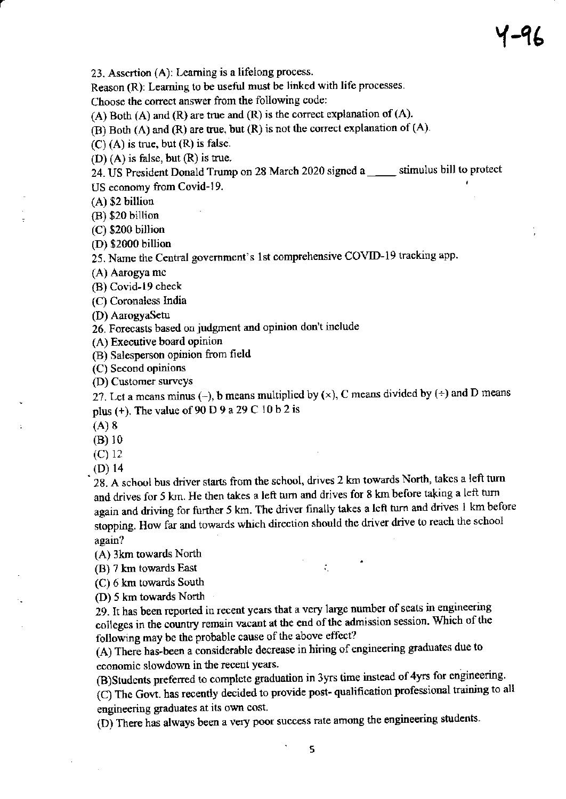23. Assertion  $(A)$ : Learning is a lifelong process.

Reason (R): Learning to be useful must be linked with life processes.

Choose the correct answer from the following code:

(A) Both (A) and (R) are true and (R) is the correct explanation of (A).

 $(B)$  Both  $(A)$  and  $(R)$  are true, but  $(R)$  is not the correct explanation of  $(A)$ .

 $(C)$  (A) is true, but  $(R)$  is false.

 $(D)$  (A) is false, but  $(R)$  is true.

24. US President Donald Trump on 28 March 2020 signed a \_\_\_\_\_ stimulus bill to protect US economy from Covid-19.

(A) \$2 billion

(B) \$20 billion

(C) \$200 billion

(D) \$2000 billion

25. Name the Central government's 1st comprehensive COVID-19 tracking app.

(A) Aarogya mc

(B) Covid-|9 check

(C) Coronaless India

(D) AarogyaSetu

26. Forecasts based on judgment and opinion don't include

(A) Executive board opinion

(B) Salesperson opinion from field

(C) Second opinions

(D) Cusiomer survcys

27. Let a means minus (-), b means multiplied by  $(x)$ , C means divided by  $(+)$  and D means plus (+). The value of 90 D 9 a 29 C 10 b 2 is

(A) 8

(B) 10

(c) <sup>12</sup>

(D) 14<br>28. A school bus driver starts from the school, drives 2 km towards North, takes a left turn and drives for 5 krn. He then takes a left tum and drives for 8 km before taking a left tum again and driving for further 5 km. The driver finally takes a left turn and drives I km before siopping. How far and towards which direction should the driver drive to reach the school again?

(A) 3km towards North

(B) 7 km towards East

(C) 6 km towards South

(D) 5 km towards North

29. It has been reported in recent years that a very large number of seats in engineering following may be the probable cause of the above effect? in the country remain vacant at the end of the admission session. Which of the

(A) There has-been a considerable decrease in hiring of engineering graduates due to economic slowdown in the recent years.

(B)Students preferred to complete graduation in 3yrs time instead of 4yrs for engineering.

(C) The Govt. has recently decided to provide post- qualification professional training to all engineering graduates at its own cost.

(D) There has always been a very poor success rate among the engineering students.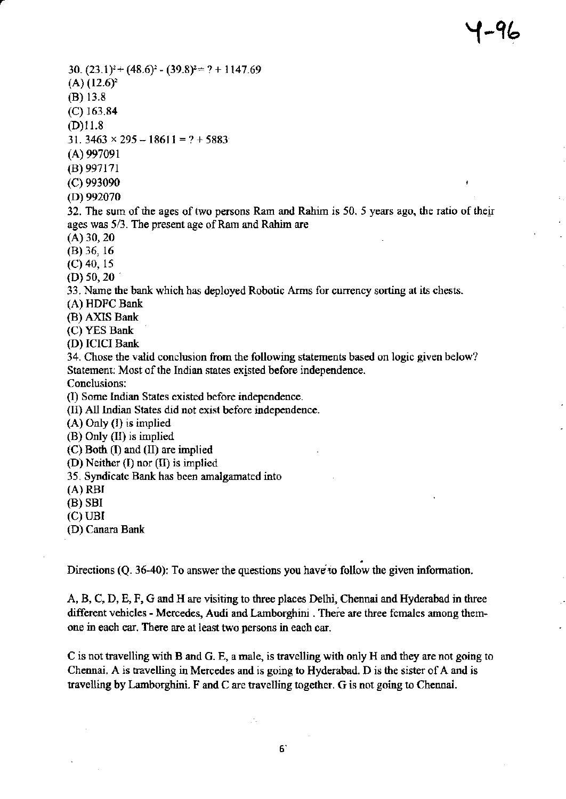÷

 $30. (23.1)^{2}+(48.6)^{2}-(39.8)^{2}=?+1147.69$  $(A)$   $(12.6)^2$ (B) 13.8  $(C)$  163.84  $(D)11.8$ 31.  $3463 \times 295 - 18611 = ? + 5883$ 

(A) 997091

 $(B)$  997171

(c) 9e3090

(D) 992070

32. The sum of the ages of two persons Ram and Rahim is 50, 5 years ago, the ratio of their ages was  $5/3$ . The present age of Ram and Rahim are

 $(A)$  30, 20

(B) 36, 16

 $(C)$  40, 15

 $(D)$  50, 20

33. Name the bank which has deployed Robotic Arms for currency sorting at its chests.

(A) HDFC Bank

 $(B)$  AXIS Bank

(C) YES Bank

(D) ICICI Bank

34. Chose the valid conclusion from the following statements based on logic given below? Statement: Most of the Indian states existed before independence.

Conclusions:

(I) Some Indian States existed before independence.

(II) All Indian States did not exist before independence.

(A) Only (l) is implied

(B) Only (II) is implied

 $(C)$  Both  $(I)$  and  $(II)$  are implied

(D) Neither (I) nor  $(II)$  is implied

35. Syndicate Bank has been amalgamated into

(A) RBI

(B) SBI

(c) UBI

(D) Canara Bank

Directions (Q. 36-40): To answer the questions you have to follow the given information.

A, B, C, D, E, F, G and H are visiting to three places Delhi, Chennai and Hyderabad in three different vehicles - Mercedes, Audi and Lamborghini . There are three females among themone in each car. There are at least two persons in each car.

C is not travelling with B and G. E, a male, is travelling with only H and they are not going to Chennai. A is travelling in Mercedes and is going to Hyderabad. D is the sister of A and is travelling by Lamborghini. F and C are travelling together. G is not going to Chennai.

уŃ.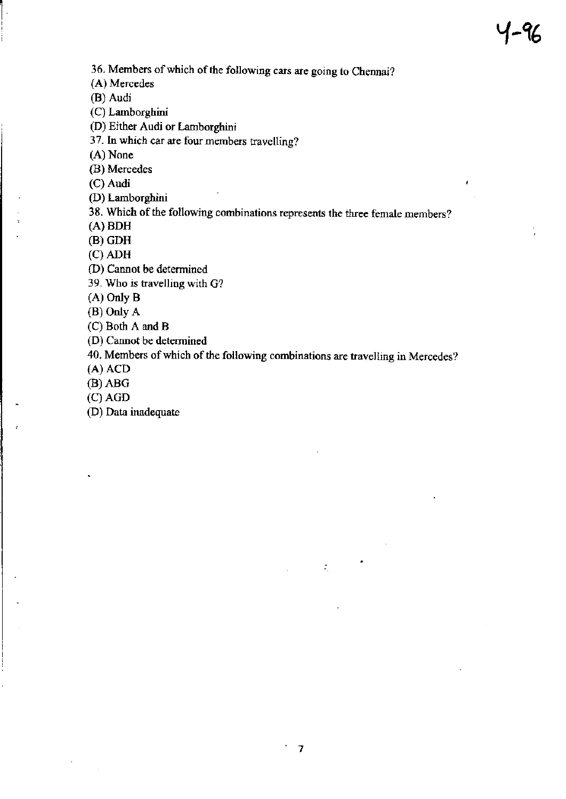$\mathbf{I}$ 

36. Members of which of the following cars are going to Chennai?

{A) Mercedes

(B) Audi

(C) Lamborghini

(D) Either Audi or Lamborghini

<sup>3</sup>7. In which car are fow mcmbers travclling?

(A) None

(B) Mercedes

(C) Audi

(D) Larnborghini

38. Which of the following combinations represents the three female members?

(A) BDH

(B) GDH

(c) ADH

(D) Cannot be determined

39. Who is travelling with G?

(A) Only B

(B) Only A

(C) Both A and B

(D) Cannot be determined

40. Members of which of the following combinations are trayelling in Mercedes?

(A) ACD

(B) ABG

(c) AGD

(D) Data inadequate

 $\mathcal{L}_{\mathcal{L}}$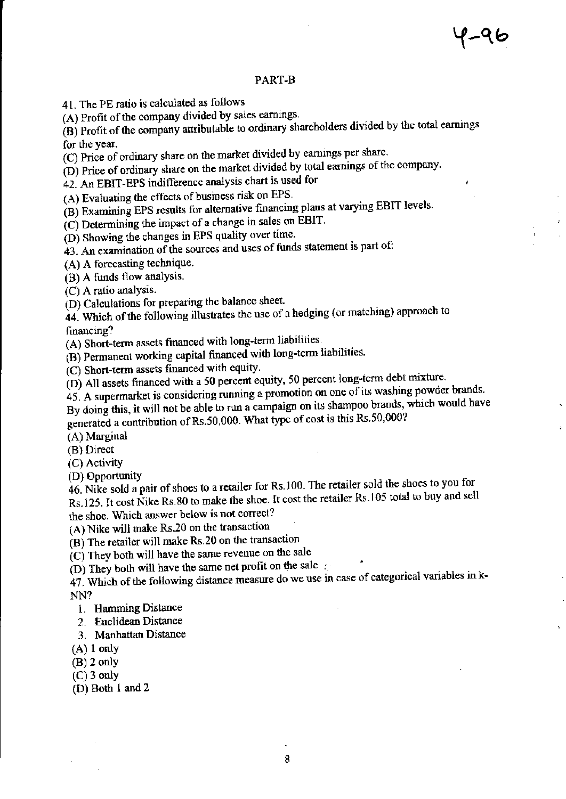ï

## PART-B

41. The PE ratio is calculated as follows

(A) Profit of the company divided by sales earnings.

(B) Profit of the company attributable to ordinary shareholders divided by the total earnings for the year.

(C) Price of ordinary share on the market divided by earnings per share.

(D) Price of ordinary share on the market divided by total earnings of the company.

42. An EBIT-EPS indifference analysis chart is used for

(A) Evaluating the effects of business risk on EPS.

(B) Examining EPS results for alternative financing plans at varying EBIT levels.

 $(C)$  Determining the impact of a change in sales on EBIT.

(D) Showing the changes in EPS quality over time.

43. An examination of the sources and uses of funds statement is part of:

(A) A forecasting technique.

(B) A funds flow analysis.

 $(C)$  A ratio analysis.

(D) Calculations for preparing the balance sheet.

44. Which of the following illustrates the use of a hedging (or matching) approach to financing?

(A) Short-term assets financed with long-term liabilities.

(B) Permanent working capital financed with long-term liabilities.

 $(C)$  Short-term assets financed with equity.

(D) All assets financed with a 50 percent equity, 50 percent long-term debt mixture.

45. A supermarket is considering running a promotion on one of its washing powder brands.

By doing this, it will not be able to run a campaign on its shampoo brands, which would have generated a contribution of Rs.50,000. What type of cost is this Rs.50,000?

(A) Marginal

(B) Direct

(C) Activity

(D) Opportunity

46. Nike sold a pair of shoes to a retailer for Rs.100. The retailer sold the shoes to you for Rs.125. It cost Nike Rs.80 to make the shoe. It cost the retailer Rs.105 total to buy and sell the shoe. Which answer below is not correct?

(A) Nike will make Rs.20 on the transaction

(B) The retailer will make Rs.20 on the transaction

(C) They both will have the same revenue on the sale

(D) They both will have the same net profit on the sale

47. Which of the following distance measure do we use in case of categorical variables in k-NN?

- 1. Hamming Distance
- 2. Euclidean Distance
- 3. Manhattan Distance
- $(A)$  1 only
- $(B)$  2 only
- $(C)$  3 only
- $(D)$  Both 1 and 2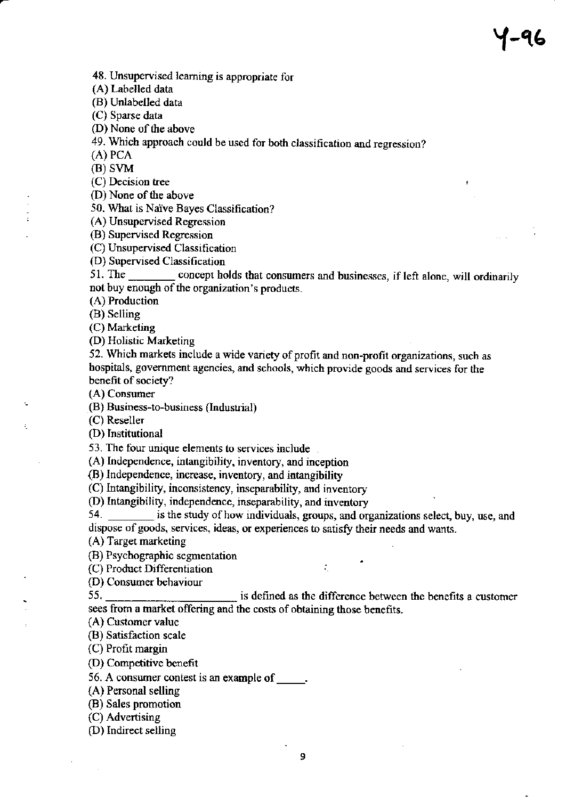48. Unsupervised leaming is appropriate for

(A) Labelled data

(B) Unlabelled data

(C) Sparse data

(D) None of the above

49. Which approach could be used for both classification and regression?

(A) PcA

(B) SVM

(C) Decision tree

(D) None of the above

50. What is Naïve Bayes Classification?<br>(A) Unsupervised Regression

(B) Supervised Regressior

(C) Unsupervised Classitication

(D) Supervised Classification

51. The \_\_\_\_\_\_\_ concept holds that consumers and businesses, if left alone, will ordinarily not buy enough of the organization's products.

(A) Production

(B) Seliing

(C) Marketing

(D) Holistic Marketing

52. Which markets include a wide variety of profit and non-profit organizations, such as bospitals, government agencies, and schools, which provide goods and services for the benefit of society?

(A) Consumer<br>(B) Business-to-business (Industrial)

(C) Reseller

. (D) Institutional

53. The four unique elements to services include

(A) Independence, intangibility, inventory, and inception

(B) Independence, increase, inventory, and intangibility

(C) Intangibility, inconsistency, inseparability, and inventory

(D) Intangibility, independence, inseparability, and inventory

54. \_\_\_\_\_\_\_ is the study of how individuals, groups, and organizations select, buy, use, and dispose of goods, services, ideas, or experiences to satisfy their needs and wants.

(A) Target marketing

(B) Psychographic segnentation

(C) Product Differentiation  $\therefore$ 

(D) Consumer behaviour 55.

is defined as the difference between the benefits a customer sees from a market offering and the costs of obtaining those benefits.

(A) Customer value

(B) Satisfaction scale

(C) Profit margin

(D) Competitive benefit

56. A consumer contest is an example of  $\qquad$ .

 $(A)$  Personal selling

(B) Sales promotion

(C) Advertising

(D) Indirect selling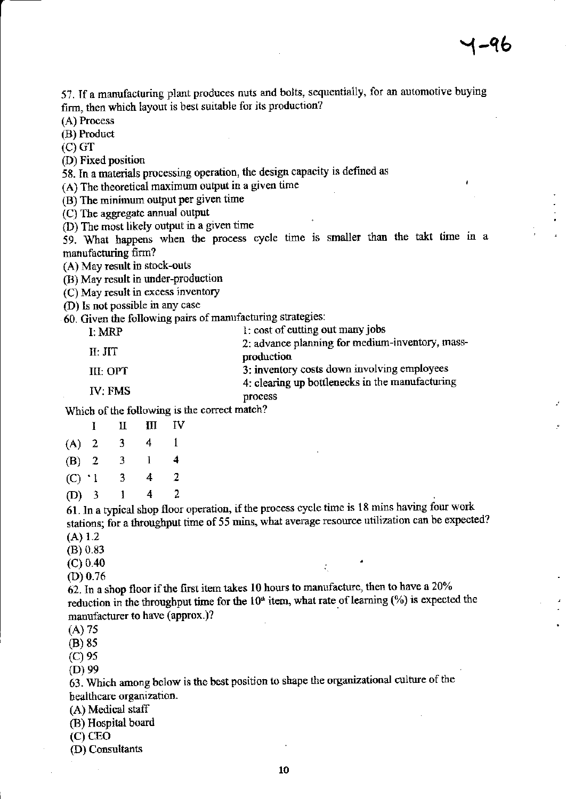J.

57. If a manufacturing plant produces nuts and bolts, sequentially, for an automotive buying firm, then which layout is best suitable for its production?

(A) Process

(B) Product

 $(C)$  GT

(D) Fixed position

58. In a materials processing operation, the design capacity is defined as

(A) The theoretical maximum output in a given time

(B) The minimum output per given time

(C) The aggregate annual output

(D) The most likely output in a given time

59. What happens when the process cycle time is smaller than the takt time in a manufacturing firm?

(A) May result in stock-outs

(B) May result in under-production

(C) May result in excess inventory

(D) Is not possible in any case

60. Given the following pairs of manufacturing strategies:

| I: MRP    | 1: cost of cutting out many jobs                |  |  |
|-----------|-------------------------------------------------|--|--|
|           | 2: advance planning for medium-inventory, mass- |  |  |
| II: JIT   | production                                      |  |  |
| III: OPT- | 3: inventory costs down involving employees     |  |  |
|           | 4: clearing up bottlenecks in the manufacturing |  |  |
| IV. FMS   | process                                         |  |  |

Which of the following is the correct match?

|           |                | П | Ш | IV |
|-----------|----------------|---|---|----|
| (A)       | $\mathbf{2}$   | 3 | 4 | 1  |
| (B)       | $\overline{2}$ | 3 | 1 | 4  |
| $(C)$ ' l |                | 3 | 4 | 2  |
| $(D)$ 3   |                | ı | 4 | 2  |

61. In a typical shop floor operation, if the process cycle time is 18 mins having four work stations; for a throughput time of 55 mins, what average resource utilization can be expected?  $(A) 1.2$ 

÷.

 $(B) 0.83$ 

 $(C) 0.40$ 

 $(D)$  0.76

 $62.$  In a shop floor if the first item takes 10 hours to manufacture, then to have a 20% reduction in the throughput time for the  $10<sup>th</sup>$  item, what rate of learning  $(\%)$  is expected the manufacturer to have (approx.)?

 $(A)$  75

 $(B)$  85

 $(C)$  95

 $(D)$  99

63. Which among below is the best position to shape the organizational culture of the healthcare organization.

(A) Medical staff

(B) Hospital board

 $(C)$  CEO

(D) Consultants